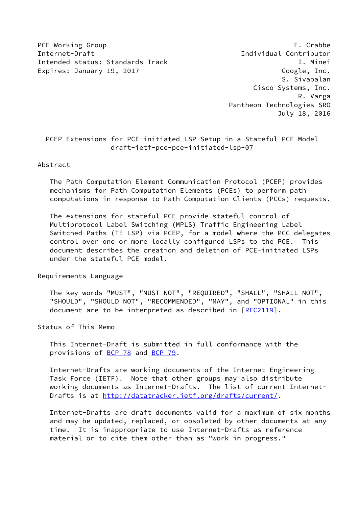PCE Working Group E. Crabbe Internet-Draft Individual Contributor Intended status: Standards Track I. Minei Expires: January 19, 2017 Coogle, Inc.

 S. Sivabalan Cisco Systems, Inc. R. Varga Pantheon Technologies SRO July 18, 2016

 PCEP Extensions for PCE-initiated LSP Setup in a Stateful PCE Model draft-ietf-pce-pce-initiated-lsp-07

### Abstract

 The Path Computation Element Communication Protocol (PCEP) provides mechanisms for Path Computation Elements (PCEs) to perform path computations in response to Path Computation Clients (PCCs) requests.

 The extensions for stateful PCE provide stateful control of Multiprotocol Label Switching (MPLS) Traffic Engineering Label Switched Paths (TE LSP) via PCEP, for a model where the PCC delegates control over one or more locally configured LSPs to the PCE. This document describes the creation and deletion of PCE-initiated LSPs under the stateful PCE model.

Requirements Language

 The key words "MUST", "MUST NOT", "REQUIRED", "SHALL", "SHALL NOT", "SHOULD", "SHOULD NOT", "RECOMMENDED", "MAY", and "OPTIONAL" in this document are to be interpreted as described in [\[RFC2119](https://datatracker.ietf.org/doc/pdf/rfc2119)].

Status of This Memo

 This Internet-Draft is submitted in full conformance with the provisions of [BCP 78](https://datatracker.ietf.org/doc/pdf/bcp78) and [BCP 79](https://datatracker.ietf.org/doc/pdf/bcp79).

 Internet-Drafts are working documents of the Internet Engineering Task Force (IETF). Note that other groups may also distribute working documents as Internet-Drafts. The list of current Internet- Drafts is at<http://datatracker.ietf.org/drafts/current/>.

 Internet-Drafts are draft documents valid for a maximum of six months and may be updated, replaced, or obsoleted by other documents at any time. It is inappropriate to use Internet-Drafts as reference material or to cite them other than as "work in progress."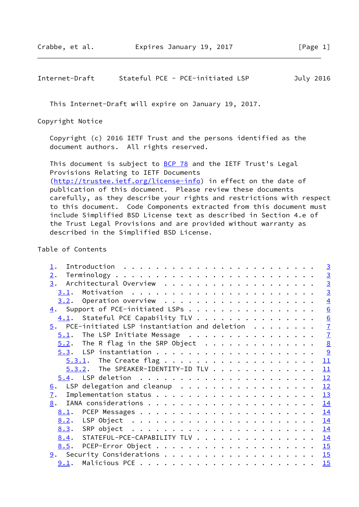# Internet-Draft Stateful PCE - PCE-initiated LSP July 2016

This Internet-Draft will expire on January 19, 2017.

Copyright Notice

 Copyright (c) 2016 IETF Trust and the persons identified as the document authors. All rights reserved.

This document is subject to **[BCP 78](https://datatracker.ietf.org/doc/pdf/bcp78)** and the IETF Trust's Legal Provisions Relating to IETF Documents [\(http://trustee.ietf.org/license-info](http://trustee.ietf.org/license-info)) in effect on the date of publication of this document. Please review these documents carefully, as they describe your rights and restrictions with respect to this document. Code Components extracted from this document must include Simplified BSD License text as described in Section 4.e of the Trust Legal Provisions and are provided without warranty as described in the Simplified BSD License.

### Table of Contents

|                                                               | $\overline{3}$  |
|---------------------------------------------------------------|-----------------|
| 2.                                                            | $\overline{3}$  |
|                                                               | $\overline{3}$  |
|                                                               | $\overline{3}$  |
|                                                               | $\overline{4}$  |
| $\underline{4}$ . Support of PCE-initiated LSPs               | 6               |
| $\underline{4.1}$ . Stateful PCE Capability TLV               | $\underline{6}$ |
| $\overline{5}$ . PCE-initiated LSP instantiation and deletion | $\overline{1}$  |
|                                                               | $\overline{1}$  |
| $5.2$ . The R flag in the SRP Object                          | $\underline{8}$ |
|                                                               | <u>୍ର</u>       |
| $5.3.1$ . The Create flag                                     | 11              |
| 5.3.2. The SPEAKER-IDENTITY-ID TLV 11                         |                 |
|                                                               | 12              |
| LSP delegation and cleanup<br>6.                              | 12              |
| $\mathbf{I}$ .                                                | 13              |
| 8.                                                            | 14              |
|                                                               | 14              |
|                                                               | 14              |
|                                                               |                 |
| 8.4. STATEFUL-PCE-CAPABILITY TLV 14                           |                 |
|                                                               |                 |
|                                                               |                 |
| $9.1$ . Malicious PCE                                         | 15              |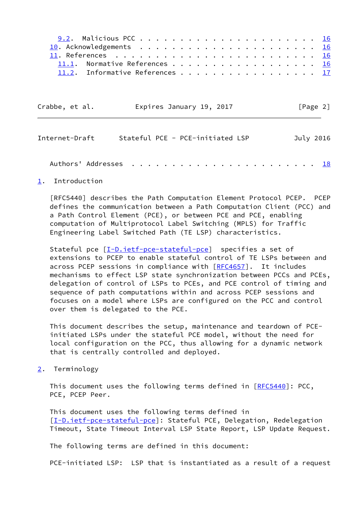| 11.1. Normative References 16   |  |  |  |  |  |  |  |  |  |
|---------------------------------|--|--|--|--|--|--|--|--|--|
| 11.2. Informative References 17 |  |  |  |  |  |  |  |  |  |

| Crabbe, et al. | Expires January 19, 2017 | [Page 2] |
|----------------|--------------------------|----------|
|                |                          |          |

<span id="page-2-1"></span>

| Internet-Draft | Stateful PCE - PCE-initiated LSP | July 2016 |
|----------------|----------------------------------|-----------|
|                |                                  |           |

# <span id="page-2-0"></span>[1](#page-2-0). Introduction

 [RFC5440] describes the Path Computation Element Protocol PCEP. PCEP defines the communication between a Path Computation Client (PCC) and a Path Control Element (PCE), or between PCE and PCE, enabling computation of Multiprotocol Label Switching (MPLS) for Traffic Engineering Label Switched Path (TE LSP) characteristics.

Stateful pce  $[\underline{I-D.iett-pce-stateful-pce}]$  specifies a set of extensions to PCEP to enable stateful control of TE LSPs between and across PCEP sessions in compliance with [\[RFC4657](https://datatracker.ietf.org/doc/pdf/rfc4657)]. It includes mechanisms to effect LSP state synchronization between PCCs and PCEs, delegation of control of LSPs to PCEs, and PCE control of timing and sequence of path computations within and across PCEP sessions and focuses on a model where LSPs are configured on the PCC and control over them is delegated to the PCE.

 This document describes the setup, maintenance and teardown of PCE initiated LSPs under the stateful PCE model, without the need for local configuration on the PCC, thus allowing for a dynamic network that is centrally controlled and deployed.

<span id="page-2-2"></span>[2](#page-2-2). Terminology

This document uses the following terms defined in [[RFC5440](https://datatracker.ietf.org/doc/pdf/rfc5440)]: PCC, PCE, PCEP Peer.

 This document uses the following terms defined in [\[I-D.ietf-pce-stateful-pce](#page-3-3)]: Stateful PCE, Delegation, Redelegation Timeout, State Timeout Interval LSP State Report, LSP Update Request.

The following terms are defined in this document:

PCE-initiated LSP: LSP that is instantiated as a result of a request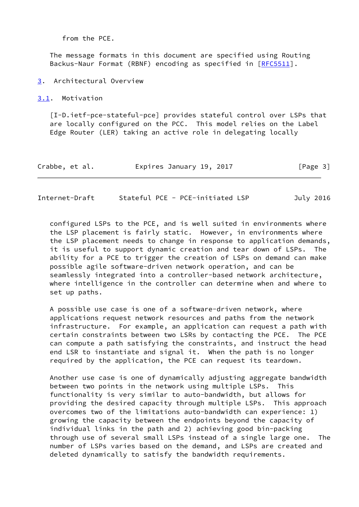from the PCE.

 The message formats in this document are specified using Routing Backus-Naur Format (RBNF) encoding as specified in [[RFC5511\]](https://datatracker.ietf.org/doc/pdf/rfc5511).

<span id="page-3-0"></span>[3](#page-3-0). Architectural Overview

<span id="page-3-1"></span>[3.1](#page-3-1). Motivation

<span id="page-3-3"></span> [I-D.ietf-pce-stateful-pce] provides stateful control over LSPs that are locally configured on the PCC. This model relies on the Label Edge Router (LER) taking an active role in delegating locally

| Crabbe, et al.<br>Expires January 19, 2017 |  |  |  |  |  |  | [Page 3] |  |
|--------------------------------------------|--|--|--|--|--|--|----------|--|
|--------------------------------------------|--|--|--|--|--|--|----------|--|

<span id="page-3-2"></span>Internet-Draft Stateful PCE - PCE-initiated LSP July 2016

 configured LSPs to the PCE, and is well suited in environments where the LSP placement is fairly static. However, in environments where the LSP placement needs to change in response to application demands, it is useful to support dynamic creation and tear down of LSPs. The ability for a PCE to trigger the creation of LSPs on demand can make possible agile software-driven network operation, and can be seamlessly integrated into a controller-based network architecture, where intelligence in the controller can determine when and where to set up paths.

 A possible use case is one of a software-driven network, where applications request network resources and paths from the network infrastructure. For example, an application can request a path with certain constraints between two LSRs by contacting the PCE. The PCE can compute a path satisfying the constraints, and instruct the head end LSR to instantiate and signal it. When the path is no longer required by the application, the PCE can request its teardown.

 Another use case is one of dynamically adjusting aggregate bandwidth between two points in the network using multiple LSPs. This functionality is very similar to auto-bandwidth, but allows for providing the desired capacity through multiple LSPs. This approach overcomes two of the limitations auto-bandwidth can experience: 1) growing the capacity between the endpoints beyond the capacity of individual links in the path and 2) achieving good bin-packing through use of several small LSPs instead of a single large one. The number of LSPs varies based on the demand, and LSPs are created and deleted dynamically to satisfy the bandwidth requirements.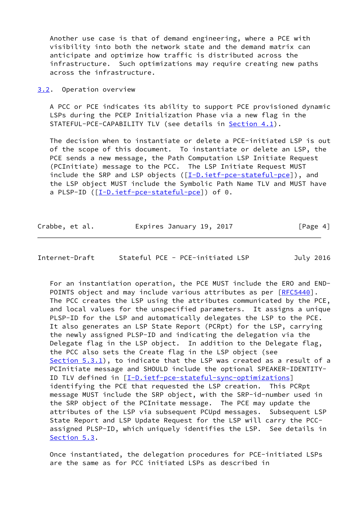Another use case is that of demand engineering, where a PCE with visibility into both the network state and the demand matrix can anticipate and optimize how traffic is distributed across the infrastructure. Such optimizations may require creating new paths across the infrastructure.

<span id="page-4-0"></span>[3.2](#page-4-0). Operation overview

 A PCC or PCE indicates its ability to support PCE provisioned dynamic LSPs during the PCEP Initialization Phase via a new flag in the STATEFUL-PCE-CAPABILITY TLV (see details in [Section 4.1\)](#page-6-0).

 The decision when to instantiate or delete a PCE-initiated LSP is out of the scope of this document. To instantiate or delete an LSP, the PCE sends a new message, the Path Computation LSP Initiate Request (PCInitiate) message to the PCC. The LSP Initiate Request MUST include the SRP and LSP objects ([\[I-D.ietf-pce-stateful-pce\]](#page-3-3)), and the LSP object MUST include the Symbolic Path Name TLV and MUST have a PLSP-ID ([[I-D.ietf-pce-stateful-pce\]](#page-3-3)) of 0.

| Crabbe, et al. | Expires January 19, 2017 | [Page 4] |
|----------------|--------------------------|----------|
|----------------|--------------------------|----------|

Internet-Draft Stateful PCE - PCE-initiated LSP July 2016

 For an instantiation operation, the PCE MUST include the ERO and END- POINTS object and may include various attributes as per [\[RFC5440](https://datatracker.ietf.org/doc/pdf/rfc5440)]. The PCC creates the LSP using the attributes communicated by the PCE, and local values for the unspecified parameters. It assigns a unique PLSP-ID for the LSP and automatically delegates the LSP to the PCE. It also generates an LSP State Report (PCRpt) for the LSP, carrying the newly assigned PLSP-ID and indicating the delegation via the Delegate flag in the LSP object. In addition to the Delegate flag, the PCC also sets the Create flag in the LSP object (see [Section 5.3.1](#page-11-0)), to indicate that the LSP was created as a result of a PCInitiate message and SHOULD include the optional SPEAKER-IDENTITY- ID TLV defined in [[I-D.ietf-pce-stateful-sync-optimizations\]](#page-18-2) identifying the PCE that requested the LSP creation. This PCRpt message MUST include the SRP object, with the SRP-id-number used in the SRP object of the PCInitate message. The PCE may update the attributes of the LSP via subsequent PCUpd messages. Subsequent LSP State Report and LSP Update Request for the LSP will carry the PCC assigned PLSP-ID, which uniquely identifies the LSP. See details in [Section 5.3](#page-9-0).

 Once instantiated, the delegation procedures for PCE-initiated LSPs are the same as for PCC initiated LSPs as described in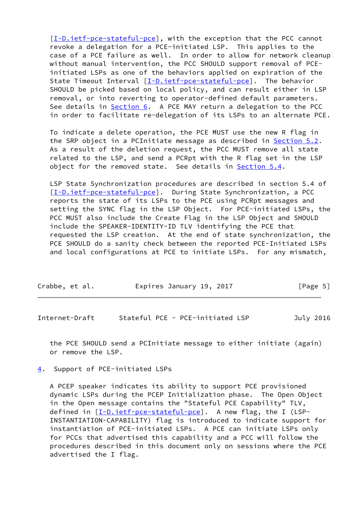[\[I-D.ietf-pce-stateful-pce](#page-3-3)], with the exception that the PCC cannot revoke a delegation for a PCE-initiated LSP. This applies to the case of a PCE failure as well. In order to allow for network cleanup without manual intervention, the PCC SHOULD support removal of PCE initiated LSPs as one of the behaviors applied on expiration of the State Timeout Interval [\[I-D.ietf-pce-stateful-pce](#page-3-3)]. The behavior SHOULD be picked based on local policy, and can result either in LSP removal, or into reverting to operator-defined default parameters. See details in [Section 6.](#page-12-3) A PCE MAY return a delegation to the PCC in order to facilitate re-delegation of its LSPs to an alternate PCE.

 To indicate a delete operation, the PCE MUST use the new R flag in the SRP object in a PCInitiate message as described in **[Section 5.2](#page-8-0)**. As a result of the deletion request, the PCC MUST remove all state related to the LSP, and send a PCRpt with the R flag set in the LSP object for the removed state. See details in [Section 5.4](#page-12-1).

 LSP State Synchronization procedures are described in section 5.4 of [\[I-D.ietf-pce-stateful-pce](#page-3-3)]. During State Synchronization, a PCC reports the state of its LSPs to the PCE using PCRpt messages and setting the SYNC flag in the LSP Object. For PCE-initiated LSPs, the PCC MUST also include the Create Flag in the LSP Object and SHOULD include the SPEAKER-IDENTITY-ID TLV identifying the PCE that requested the LSP creation. At the end of state synchronization, the PCE SHOULD do a sanity check between the reported PCE-Initiated LSPs and local configurations at PCE to initiate LSPs. For any mismatch,

| Crabbe, et al.<br>Expires January 19, 2017 | [Page 5] |
|--------------------------------------------|----------|
|--------------------------------------------|----------|

<span id="page-5-1"></span>Internet-Draft Stateful PCE - PCE-initiated LSP July 2016

 the PCE SHOULD send a PCInitiate message to either initiate (again) or remove the LSP.

<span id="page-5-0"></span>[4](#page-5-0). Support of PCE-initiated LSPs

 A PCEP speaker indicates its ability to support PCE provisioned dynamic LSPs during the PCEP Initialization phase. The Open Object in the Open message contains the "Stateful PCE Capability" TLV, defined in [[I-D.ietf-pce-stateful-pce\]](#page-3-3). A new flag, the I (LSP- INSTANTIATION-CAPABILITY) flag is introduced to indicate support for instantiation of PCE-initiated LSPs. A PCE can initiate LSPs only for PCCs that advertised this capability and a PCC will follow the procedures described in this document only on sessions where the PCE advertised the I flag.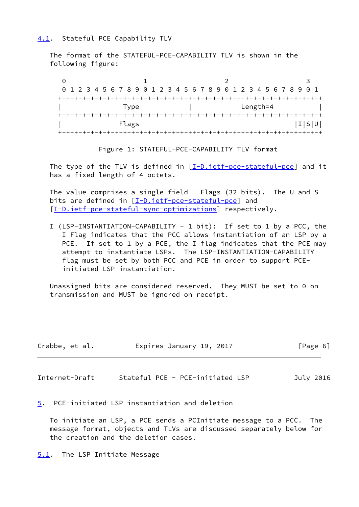# <span id="page-6-0"></span>[4.1](#page-6-0). Stateful PCE Capability TLV

 The format of the STATEFUL-PCE-CAPABILITY TLV is shown in the following figure:

|       | 0 1 2 3 4 5 6 7 8 9 0 1 2 3 4 5 6 7 8 9 0 1 2 3 4 5 6 7 8 9 0 1 |       |
|-------|-----------------------------------------------------------------|-------|
|       |                                                                 |       |
| Type  | Length=4                                                        |       |
|       |                                                                 |       |
| Flags |                                                                 | I S U |
|       |                                                                 |       |

Figure 1: STATEFUL-PCE-CAPABILITY TLV format

The type of the TLV is defined in  $[I-D.iett-pce-stateful-pce]$  and it has a fixed length of 4 octets.

 The value comprises a single field - Flags (32 bits). The U and S bits are defined in [\[I-D.ietf-pce-stateful-pce](#page-3-3)] and [\[I-D.ietf-pce-stateful-sync-optimizations](#page-18-2)] respectively.

 I (LSP-INSTANTIATION-CAPABILITY - 1 bit): If set to 1 by a PCC, the I Flag indicates that the PCC allows instantiation of an LSP by a PCE. If set to 1 by a PCE, the I flag indicates that the PCE may attempt to instantiate LSPs. The LSP-INSTANTIATION-CAPABILITY flag must be set by both PCC and PCE in order to support PCE initiated LSP instantiation.

 Unassigned bits are considered reserved. They MUST be set to 0 on transmission and MUST be ignored on receipt.

| Crabbe, et al. |  | Expires January 19, 2017 |  | [Page 6] |  |
|----------------|--|--------------------------|--|----------|--|
|                |  |                          |  |          |  |

<span id="page-6-2"></span>Internet-Draft Stateful PCE - PCE-initiated LSP July 2016

<span id="page-6-1"></span>[5](#page-6-1). PCE-initiated LSP instantiation and deletion

 To initiate an LSP, a PCE sends a PCInitiate message to a PCC. The message format, objects and TLVs are discussed separately below for the creation and the deletion cases.

<span id="page-6-3"></span>[5.1](#page-6-3). The LSP Initiate Message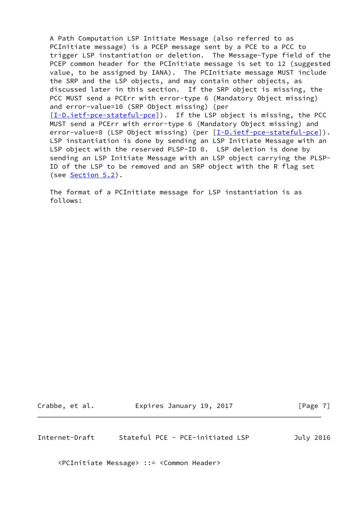A Path Computation LSP Initiate Message (also referred to as PCInitiate message) is a PCEP message sent by a PCE to a PCC to trigger LSP instantiation or deletion. The Message-Type field of the PCEP common header for the PCInitiate message is set to 12 (suggested value, to be assigned by IANA). The PCInitiate message MUST include the SRP and the LSP objects, and may contain other objects, as discussed later in this section. If the SRP object is missing, the PCC MUST send a PCErr with error-type 6 (Mandatory Object missing) and error-value=10 (SRP Object missing) (per [\[I-D.ietf-pce-stateful-pce](#page-3-3)]). If the LSP object is missing, the PCC MUST send a PCErr with error-type 6 (Mandatory Object missing) and error-value=8 (LSP Object missing) (per [\[I-D.ietf-pce-stateful-pce](#page-3-3)]). LSP instantiation is done by sending an LSP Initiate Message with an LSP object with the reserved PLSP-ID 0. LSP deletion is done by sending an LSP Initiate Message with an LSP object carrying the PLSP- ID of the LSP to be removed and an SRP object with the R flag set (see <u>Section 5.2</u>).

 The format of a PCInitiate message for LSP instantiation is as follows:

Crabbe, et al. Expires January 19, 2017 [Page 7]

<span id="page-7-0"></span>Internet-Draft Stateful PCE - PCE-initiated LSP July 2016

<PCInitiate Message> ::= <Common Header>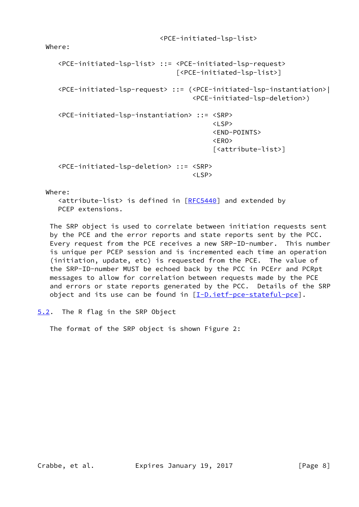Where:

```
 <PCE-initiated-lsp-list> ::= <PCE-initiated-lsp-request>
                                 [<PCE-initiated-lsp-list>]
     <PCE-initiated-lsp-request> ::= (<PCE-initiated-lsp-instantiation>|
                                     <PCE-initiated-lsp-deletion>)
     <PCE-initiated-lsp-instantiation> ::= <SRP>
where the contract of the contract of the contract of the contract of \langle\text{LSP}\rangle <END-POINTS>
 <ERO>
                                          [<attribute-list>]
     <PCE-initiated-lsp-deletion> ::= <SRP>
 <LSP>
```
Where:

 <attribute-list> is defined in [\[RFC5440](https://datatracker.ietf.org/doc/pdf/rfc5440)] and extended by PCEP extensions.

 The SRP object is used to correlate between initiation requests sent by the PCE and the error reports and state reports sent by the PCC. Every request from the PCE receives a new SRP-ID-number. This number is unique per PCEP session and is incremented each time an operation (initiation, update, etc) is requested from the PCE. The value of the SRP-ID-number MUST be echoed back by the PCC in PCErr and PCRpt messages to allow for correlation between requests made by the PCE and errors or state reports generated by the PCC. Details of the SRP object and its use can be found in  $[I-D.iet f-pce-stateful-pce]$ .

<span id="page-8-0"></span>[5.2](#page-8-0). The R flag in the SRP Object

The format of the SRP object is shown Figure 2: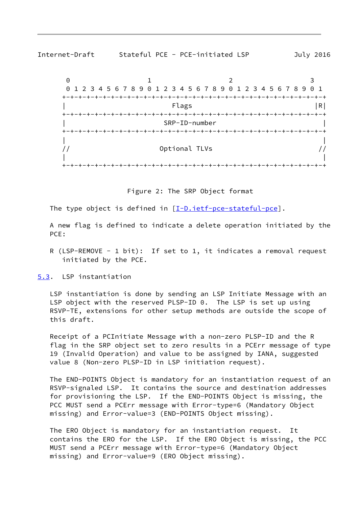<span id="page-9-1"></span>



+-+-+-+-+-+-+-+-+-+-+-+-+-+-+-+-+-+-+-+-+-+-+-+-+-+-+-+-+-+-+-+-+

The type object is defined in  $[I-D.iett-pce-stateful-pce]$ .

 A new flag is defined to indicate a delete operation initiated by the PCE:

R (LSP-REMOVE - 1 bit): If set to 1, it indicates a removal request initiated by the PCE.

<span id="page-9-0"></span>[5.3](#page-9-0). LSP instantiation

 LSP instantiation is done by sending an LSP Initiate Message with an LSP object with the reserved PLSP-ID 0. The LSP is set up using RSVP-TE, extensions for other setup methods are outside the scope of this draft.

 Receipt of a PCInitiate Message with a non-zero PLSP-ID and the R flag in the SRP object set to zero results in a PCErr message of type 19 (Invalid Operation) and value to be assigned by IANA, suggested value 8 (Non-zero PLSP-ID in LSP initiation request).

 The END-POINTS Object is mandatory for an instantiation request of an RSVP-signaled LSP. It contains the source and destination addresses for provisioning the LSP. If the END-POINTS Object is missing, the PCC MUST send a PCErr message with Error-type=6 (Mandatory Object missing) and Error-value=3 (END-POINTS Object missing).

 The ERO Object is mandatory for an instantiation request. It contains the ERO for the LSP. If the ERO Object is missing, the PCC MUST send a PCErr message with Error-type=6 (Mandatory Object missing) and Error-value=9 (ERO Object missing).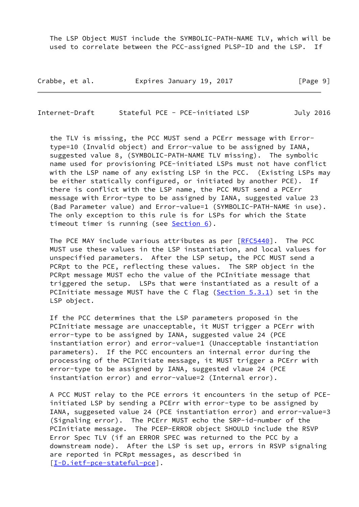The LSP Object MUST include the SYMBOLIC-PATH-NAME TLV, which will be used to correlate between the PCC-assigned PLSP-ID and the LSP. If

| Crabbe, et al. | Expires January 19, 2017 | [Page 9] |
|----------------|--------------------------|----------|
|----------------|--------------------------|----------|

Internet-Draft Stateful PCE - PCE-initiated LSP July 2016

 the TLV is missing, the PCC MUST send a PCErr message with Error type=10 (Invalid object) and Error-value to be assigned by IANA, suggested value 8, (SYMBOLIC-PATH-NAME TLV missing). The symbolic name used for provisioning PCE-initiated LSPs must not have conflict with the LSP name of any existing LSP in the PCC. (Existing LSPs may be either statically configured, or initiated by another PCE). If there is conflict with the LSP name, the PCC MUST send a PCErr message with Error-type to be assigned by IANA, suggested value 23 (Bad Parameter value) and Error-value=1 (SYMBOLIC-PATH-NAME in use). The only exception to this rule is for LSPs for which the State timeout timer is running (see [Section 6\)](#page-12-3).

The PCE MAY include various attributes as per  $[REC5440]$ . The PCC MUST use these values in the LSP instantiation, and local values for unspecified parameters. After the LSP setup, the PCC MUST send a PCRpt to the PCE, reflecting these values. The SRP object in the PCRpt message MUST echo the value of the PCInitiate message that triggered the setup. LSPs that were instantiated as a result of a PCInitiate message MUST have the C flag [\(Section 5.3.1](#page-11-0)) set in the LSP object.

 If the PCC determines that the LSP parameters proposed in the PCInitiate message are unacceptable, it MUST trigger a PCErr with error-type to be assigned by IANA, suggested value 24 (PCE instantiation error) and error-value=1 (Unacceptable instantiation parameters). If the PCC encounters an internal error during the processing of the PCInitiate message, it MUST trigger a PCErr with error-type to be assigned by IANA, suggested vlaue 24 (PCE instantiation error) and error-value=2 (Internal error).

 A PCC MUST relay to the PCE errors it encounters in the setup of PCE initiated LSP by sending a PCErr with error-type to be assigned by IANA, suggeseted value 24 (PCE instantiation error) and error-value=3 (Signaling error). The PCErr MUST echo the SRP-id-number of the PCInitiate message. The PCEP-ERROR object SHOULD include the RSVP Error Spec TLV (if an ERROR SPEC was returned to the PCC by a downstream node). After the LSP is set up, errors in RSVP signaling are reported in PCRpt messages, as described in [\[I-D.ietf-pce-stateful-pce](#page-3-3)].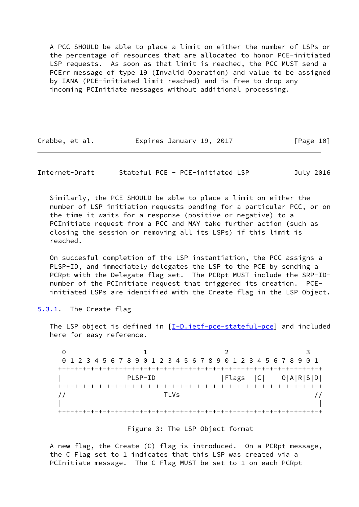A PCC SHOULD be able to place a limit on either the number of LSPs or the percentage of resources that are allocated to honor PCE-initiated LSP requests. As soon as that limit is reached, the PCC MUST send a PCErr message of type 19 (Invalid Operation) and value to be assigned by IANA (PCE-initiated limit reached) and is free to drop any incoming PCInitiate messages without additional processing.

| Crabbe, et al. | Expires January 19, 2017 |  |  |  | [Page 10] |  |
|----------------|--------------------------|--|--|--|-----------|--|
|----------------|--------------------------|--|--|--|-----------|--|

<span id="page-11-1"></span>Internet-Draft Stateful PCE - PCE-initiated LSP July 2016

 Similarly, the PCE SHOULD be able to place a limit on either the number of LSP initiation requests pending for a particular PCC, or on the time it waits for a response (positive or negative) to a PCInitiate request from a PCC and MAY take further action (such as closing the session or removing all its LSPs) if this limit is reached.

 On succesful completion of the LSP instantiation, the PCC assigns a PLSP-ID, and immediately delegates the LSP to the PCE by sending a PCRpt with the Delegate flag set. The PCRpt MUST include the SRP-ID number of the PCInitiate request that triggered its creation. PCE initiated LSPs are identified with the Create flag in the LSP Object.

<span id="page-11-0"></span>[5.3.1](#page-11-0). The Create flag

The LSP object is defined in [\[I-D.ietf-pce-stateful-pce\]](#page-3-3) and included here for easy reference.

0 1 2 3 0 1 2 3 4 5 6 7 8 9 0 1 2 3 4 5 6 7 8 9 0 1 2 3 4 5 6 7 8 9 0 1 +-+-+-+-+-+-+-+-+-+-+-+-+-+-+-+-+-+-+-+-+-+-+-+-+-+-+-+-+-+-+-+-+ PLSP-ID | Flags | C | O | A | R | S | D | +-+-+-+-+-+-+-+-+-+-+-+-+-+-+-+-+-+-+-+-+-+-+-+-+-+-+-+-+-+-+-+-+ // TLVs // | | +-+-+-+-+-+-+-+-+-+-+-+-+-+-+-+-+-+-+-+-+-+-+-+-+-+-+-+-+-+-+-+-+

#### Figure 3: The LSP Object format

 A new flag, the Create (C) flag is introduced. On a PCRpt message, the C Flag set to 1 indicates that this LSP was created via a PCInitiate message. The C Flag MUST be set to 1 on each PCRpt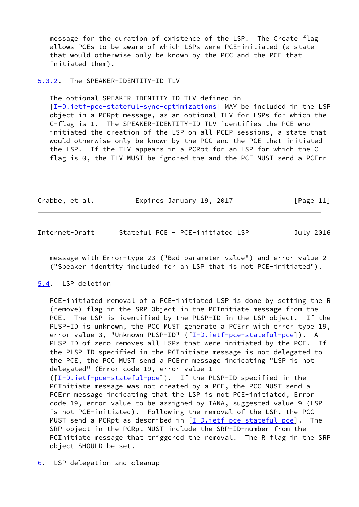message for the duration of existence of the LSP. The Create flag allows PCEs to be aware of which LSPs were PCE-initiated (a state that would otherwise only be known by the PCC and the PCE that initiated them).

## <span id="page-12-0"></span>[5.3.2](#page-12-0). The SPEAKER-IDENTITY-ID TLV

The optional SPEAKER-IDENTITY-ID TLV defined in

 [\[I-D.ietf-pce-stateful-sync-optimizations](#page-18-2)] MAY be included in the LSP object in a PCRpt message, as an optional TLV for LSPs for which the C-flag is 1. The SPEAKER-IDENTITY-ID TLV identifies the PCE who initiated the creation of the LSP on all PCEP sessions, a state that would otherwise only be known by the PCC and the PCE that initiated the LSP. If the TLV appears in a PCRpt for an LSP for which the C flag is 0, the TLV MUST be ignored the and the PCE MUST send a PCErr

| Crabbe, et al. | Expires January 19, 2017 |  | [Page 11] |
|----------------|--------------------------|--|-----------|
|----------------|--------------------------|--|-----------|

<span id="page-12-2"></span>

| Internet-Draft |  | Stateful PCE - PCE-initiated LSP | July 2016 |
|----------------|--|----------------------------------|-----------|
|----------------|--|----------------------------------|-----------|

 message with Error-type 23 ("Bad parameter value") and error value 2 ("Speaker identity included for an LSP that is not PCE-initiated").

## <span id="page-12-1"></span>[5.4](#page-12-1). LSP deletion

 PCE-initiated removal of a PCE-initiated LSP is done by setting the R (remove) flag in the SRP Object in the PCInitiate message from the PCE. The LSP is identified by the PLSP-ID in the LSP object. If the PLSP-ID is unknown, the PCC MUST generate a PCErr with error type 19, error value 3, "Unknown PLSP-ID" ([[I-D.ietf-pce-stateful-pce\]](#page-3-3)). A PLSP-ID of zero removes all LSPs that were initiated by the PCE. If the PLSP-ID specified in the PCInitiate message is not delegated to the PCE, the PCC MUST send a PCErr message indicating "LSP is not delegated" (Error code 19, error value 1 ([\[I-D.ietf-pce-stateful-pce\]](#page-3-3)). If the PLSP-ID specified in the PCInitiate message was not created by a PCE, the PCC MUST send a PCErr message indicating that the LSP is not PCE-initiated, Error code 19, error value to be assigned by IANA, suggested value 9 (LSP is not PCE-initiated). Following the removal of the LSP, the PCC MUST send a PCRpt as described in [[I-D.ietf-pce-stateful-pce\]](#page-3-3). The SRP object in the PCRpt MUST include the SRP-ID-number from the PCInitiate message that triggered the removal. The R flag in the SRP object SHOULD be set.

<span id="page-12-3"></span>[6](#page-12-3). LSP delegation and cleanup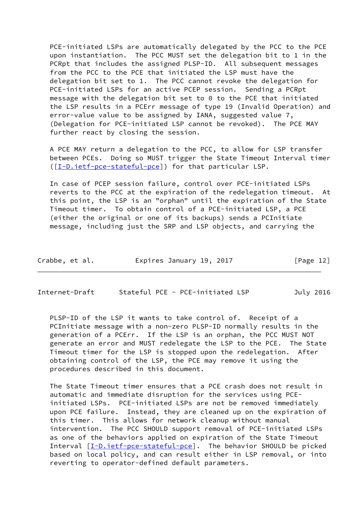PCE-initiated LSPs are automatically delegated by the PCC to the PCE upon instantiation. The PCC MUST set the delegation bit to 1 in the PCRpt that includes the assigned PLSP-ID. All subsequent messages from the PCC to the PCE that initiated the LSP must have the delegation bit set to 1. The PCC cannot revoke the delegation for PCE-initiated LSPs for an active PCEP session. Sending a PCRpt message with the delegation bit set to 0 to the PCE that initiated the LSP results in a PCErr message of type 19 (Invalid Operation) and error-value value to be assigned by IANA, suggested value 7, (Delegation for PCE-initiated LSP cannot be revoked). The PCE MAY further react by closing the session.

 A PCE MAY return a delegation to the PCC, to allow for LSP transfer between PCEs. Doing so MUST trigger the State Timeout Interval timer ([\[I-D.ietf-pce-stateful-pce\]](#page-3-3)) for that particular LSP.

 In case of PCEP session failure, control over PCE-initiated LSPs reverts to the PCC at the expiration of the redelegation timeout. At this point, the LSP is an "orphan" until the expiration of the State Timeout timer. To obtain control of a PCE-initiated LSP, a PCE (either the original or one of its backups) sends a PCInitiate message, including just the SRP and LSP objects, and carrying the

| Crabbe, et al. | Expires January 19, 2017 |  | [Page 12] |
|----------------|--------------------------|--|-----------|
|----------------|--------------------------|--|-----------|

<span id="page-13-0"></span>Internet-Draft Stateful PCE - PCE-initiated LSP July 2016

 PLSP-ID of the LSP it wants to take control of. Receipt of a PCInitiate message with a non-zero PLSP-ID normally results in the generation of a PCErr. If the LSP is an orphan, the PCC MUST NOT generate an error and MUST redelegate the LSP to the PCE. The State Timeout timer for the LSP is stopped upon the redelegation. After obtaining control of the LSP, the PCE may remove it using the procedures described in this document.

 The State Timeout timer ensures that a PCE crash does not result in automatic and immediate disruption for the services using PCE initiated LSPs. PCE-initiated LSPs are not be removed immediately upon PCE failure. Instead, they are cleaned up on the expiration of this timer. This allows for network cleanup without manual intervention. The PCC SHOULD support removal of PCE-initiated LSPs as one of the behaviors applied on expiration of the State Timeout Interval [\[I-D.ietf-pce-stateful-pce\]](#page-3-3). The behavior SHOULD be picked based on local policy, and can result either in LSP removal, or into reverting to operator-defined default parameters.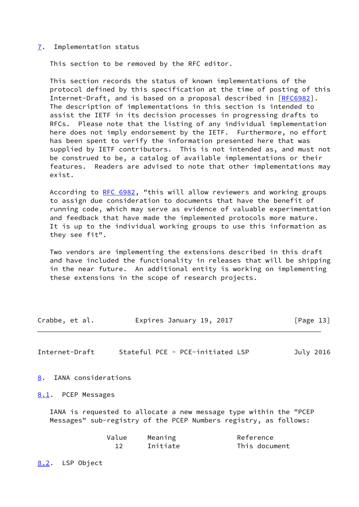#### <span id="page-14-0"></span>[7](#page-14-0). Implementation status

This section to be removed by the RFC editor.

 This section records the status of known implementations of the protocol defined by this specification at the time of posting of this Internet-Draft, and is based on a proposal described in [\[RFC6982](https://datatracker.ietf.org/doc/pdf/rfc6982)]. The description of implementations in this section is intended to assist the IETF in its decision processes in progressing drafts to RFCs. Please note that the listing of any individual implementation here does not imply endorsement by the IETF. Furthermore, no effort has been spent to verify the information presented here that was supplied by IETF contributors. This is not intended as, and must not be construed to be, a catalog of available implementations or their features. Readers are advised to note that other implementations may exist.

 According to [RFC 6982](https://datatracker.ietf.org/doc/pdf/rfc6982), "this will allow reviewers and working groups to assign due consideration to documents that have the benefit of running code, which may serve as evidence of valuable experimentation and feedback that have made the implemented protocols more mature. It is up to the individual working groups to use this information as they see fit".

 Two vendors are implementing the extensions described in this draft and have included the functionality in releases that will be shipping in the near future. An additional entity is working on implementing these extensions in the scope of research projects.

| Crabbe, et al. | Expires January 19, 2017 | [Page 13] |
|----------------|--------------------------|-----------|
|----------------|--------------------------|-----------|

<span id="page-14-2"></span>Internet-Draft Stateful PCE - PCE-initiated LSP July 2016

<span id="page-14-1"></span>[8](#page-14-1). IANA considerations

<span id="page-14-3"></span>[8.1](#page-14-3). PCEP Messages

 IANA is requested to allocate a new message type within the "PCEP Messages" sub-registry of the PCEP Numbers registry, as follows:

| Value | Meaning  | Reference     |
|-------|----------|---------------|
|       | Initiate | This document |

<span id="page-14-4"></span>[8.2](#page-14-4). LSP Object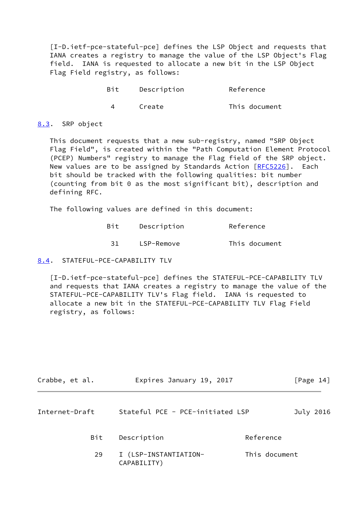[I-D.ietf-pce-stateful-pce] defines the LSP Object and requests that IANA creates a registry to manage the value of the LSP Object's Flag field. IANA is requested to allocate a new bit in the LSP Object Flag Field registry, as follows:

| Bit | Description | Reference     |
|-----|-------------|---------------|
|     | Create      | This document |

### <span id="page-15-0"></span>[8.3](#page-15-0). SRP object

 This document requests that a new sub-registry, named "SRP Object Flag Field", is created within the "Path Computation Element Protocol (PCEP) Numbers" registry to manage the Flag field of the SRP object. New values are to be assigned by Standards Action [[RFC5226](https://datatracker.ietf.org/doc/pdf/rfc5226)]. Each bit should be tracked with the following qualities: bit number (counting from bit 0 as the most significant bit), description and defining RFC.

The following values are defined in this document:

| Bit  | Description | Reference     |
|------|-------------|---------------|
| -31- | LSP-Remove  | This document |

# <span id="page-15-1"></span>[8.4](#page-15-1). STATEFUL-PCE-CAPABILITY TLV

 [I-D.ietf-pce-stateful-pce] defines the STATEFUL-PCE-CAPABILITY TLV and requests that IANA creates a registry to manage the value of the STATEFUL-PCE-CAPABILITY TLV's Flag field. IANA is requested to allocate a new bit in the STATEFUL-PCE-CAPABILITY TLV Flag Field registry, as follows:

<span id="page-15-2"></span>

| Crabbe, et al. |                                      | Expires January 19, 2017 |           |
|----------------|--------------------------------------|--------------------------|-----------|
| Internet-Draft | Stateful PCE - PCE-initiated LSP     |                          | July 2016 |
| Bit            | Description                          | Reference                |           |
| 29             | I (LSP-INSTANTIATION-<br>CAPABILITY) | This document            |           |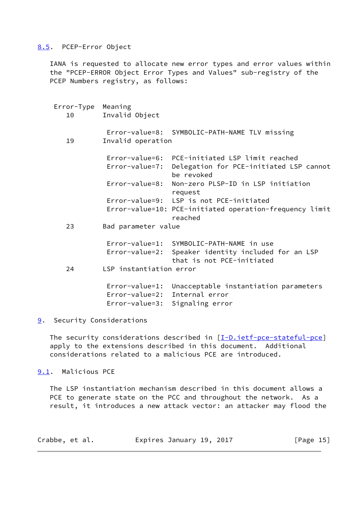## <span id="page-16-0"></span>[8.5](#page-16-0). PCEP-Error Object

 IANA is requested to allocate new error types and error values within the "PCEP-ERROR Object Error Types and Values" sub-registry of the PCEP Numbers registry, as follows:

| Error-Type Meaning<br>10 10 | Invalid Object                                        |                                                                                                                              |
|-----------------------------|-------------------------------------------------------|------------------------------------------------------------------------------------------------------------------------------|
| 19                          | Invalid operation                                     | Error-value=8: SYMBOLIC-PATH-NAME TLV missing                                                                                |
|                             | Error-value=7:                                        | Error-value=6: PCE-initiated LSP limit reached<br>Delegation for PCE-initiated LSP cannot<br>be revoked                      |
|                             | Error-value=8:                                        | Non-zero PLSP-ID in LSP initiation<br>request                                                                                |
|                             |                                                       | Error-value=9: LSP is not PCE-initiated                                                                                      |
|                             |                                                       | Error-value=10: PCE-initiated operation-frequency limit<br>reached                                                           |
| 23                          | Bad parameter value                                   |                                                                                                                              |
|                             |                                                       | Error-value=1: SYMBOLIC-PATH-NAME in use<br>Error-value=2: Speaker identity included for an LSP<br>that is not PCE-initiated |
| 24                          | LSP instantiation error                               |                                                                                                                              |
|                             | $Error-value=1$ :<br>Error-value=2:<br>Error-value=3: | Unacceptable instantiation parameters<br>Internal error<br>Signaling error                                                   |

<span id="page-16-1"></span>[9](#page-16-1). Security Considerations

The security considerations described in [\[I-D.ietf-pce-stateful-pce\]](#page-3-3) apply to the extensions described in this document. Additional considerations related to a malicious PCE are introduced.

<span id="page-16-2"></span>[9.1](#page-16-2). Malicious PCE

 The LSP instantiation mechanism described in this document allows a PCE to generate state on the PCC and throughout the network. As a result, it introduces a new attack vector: an attacker may flood the

| Crabbe, et al. | Expires January 19, 2017 | [Page 15] |
|----------------|--------------------------|-----------|
|----------------|--------------------------|-----------|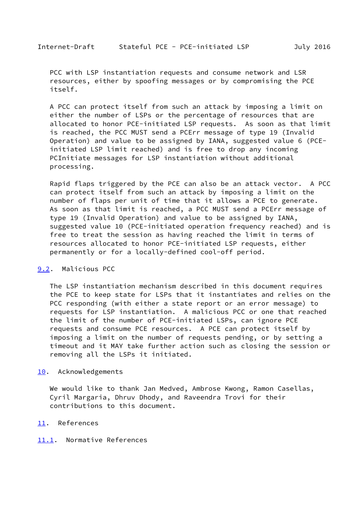<span id="page-17-1"></span> PCC with LSP instantiation requests and consume network and LSR resources, either by spoofing messages or by compromising the PCE itself.

 A PCC can protect itself from such an attack by imposing a limit on either the number of LSPs or the percentage of resources that are allocated to honor PCE-initiated LSP requests. As soon as that limit is reached, the PCC MUST send a PCErr message of type 19 (Invalid Operation) and value to be assigned by IANA, suggested value 6 (PCE initiated LSP limit reached) and is free to drop any incoming PCInitiate messages for LSP instantiation without additional processing.

 Rapid flaps triggered by the PCE can also be an attack vector. A PCC can protect itself from such an attack by imposing a limit on the number of flaps per unit of time that it allows a PCE to generate. As soon as that limit is reached, a PCC MUST send a PCErr message of type 19 (Invalid Operation) and value to be assigned by IANA, suggested value 10 (PCE-initiated operation frequency reached) and is free to treat the session as having reached the limit in terms of resources allocated to honor PCE-initiated LSP requests, either permanently or for a locally-defined cool-off period.

#### <span id="page-17-0"></span>[9.2](#page-17-0). Malicious PCC

 The LSP instantiation mechanism described in this document requires the PCE to keep state for LSPs that it instantiates and relies on the PCC responding (with either a state report or an error message) to requests for LSP instantiation. A malicious PCC or one that reached the limit of the number of PCE-initiated LSPs, can ignore PCE requests and consume PCE resources. A PCE can protect itself by imposing a limit on the number of requests pending, or by setting a timeout and it MAY take further action such as closing the session or removing all the LSPs it initiated.

#### <span id="page-17-2"></span>[10.](#page-17-2) Acknowledgements

 We would like to thank Jan Medved, Ambrose Kwong, Ramon Casellas, Cyril Margaria, Dhruv Dhody, and Raveendra Trovi for their contributions to this document.

#### <span id="page-17-3"></span>[11.](#page-17-3) References

# <span id="page-17-4"></span>[11.1](#page-17-4). Normative References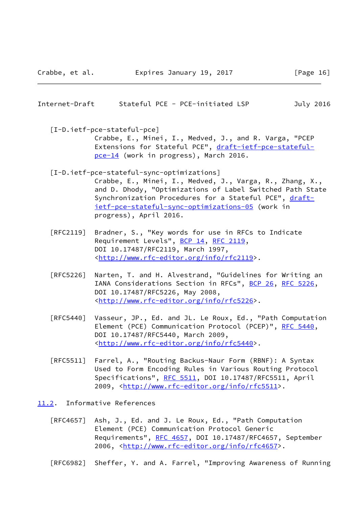<span id="page-18-1"></span>Internet-Draft Stateful PCE - PCE-initiated LSP July 2016

 [I-D.ietf-pce-stateful-pce] Crabbe, E., Minei, I., Medved, J., and R. Varga, "PCEP Extensions for Stateful PCE", [draft-ietf-pce-stateful](https://datatracker.ietf.org/doc/pdf/draft-ietf-pce-stateful-pce-14) [pce-14](https://datatracker.ietf.org/doc/pdf/draft-ietf-pce-stateful-pce-14) (work in progress), March 2016.

- <span id="page-18-2"></span> [I-D.ietf-pce-stateful-sync-optimizations] Crabbe, E., Minei, I., Medved, J., Varga, R., Zhang, X., and D. Dhody, "Optimizations of Label Switched Path State Synchronization Procedures for a Stateful PCE", [draft](https://datatracker.ietf.org/doc/pdf/draft-ietf-pce-stateful-sync-optimizations-05) [ietf-pce-stateful-sync-optimizations-05](https://datatracker.ietf.org/doc/pdf/draft-ietf-pce-stateful-sync-optimizations-05) (work in progress), April 2016.
- [RFC2119] Bradner, S., "Key words for use in RFCs to Indicate Requirement Levels", [BCP 14](https://datatracker.ietf.org/doc/pdf/bcp14), [RFC 2119](https://datatracker.ietf.org/doc/pdf/rfc2119), DOI 10.17487/RFC2119, March 1997, <<http://www.rfc-editor.org/info/rfc2119>>.
- [RFC5226] Narten, T. and H. Alvestrand, "Guidelines for Writing an IANA Considerations Section in RFCs", [BCP 26](https://datatracker.ietf.org/doc/pdf/bcp26), [RFC 5226](https://datatracker.ietf.org/doc/pdf/rfc5226), DOI 10.17487/RFC5226, May 2008, <<http://www.rfc-editor.org/info/rfc5226>>.
- [RFC5440] Vasseur, JP., Ed. and JL. Le Roux, Ed., "Path Computation Element (PCE) Communication Protocol (PCEP)", [RFC 5440](https://datatracker.ietf.org/doc/pdf/rfc5440), DOI 10.17487/RFC5440, March 2009, <<http://www.rfc-editor.org/info/rfc5440>>.
- [RFC5511] Farrel, A., "Routing Backus-Naur Form (RBNF): A Syntax Used to Form Encoding Rules in Various Routing Protocol Specifications", [RFC 5511,](https://datatracker.ietf.org/doc/pdf/rfc5511) DOI 10.17487/RFC5511, April 2009, [<http://www.rfc-editor.org/info/rfc5511](http://www.rfc-editor.org/info/rfc5511)>.
- <span id="page-18-0"></span>[11.2](#page-18-0). Informative References
	- [RFC4657] Ash, J., Ed. and J. Le Roux, Ed., "Path Computation Element (PCE) Communication Protocol Generic Requirements", [RFC 4657](https://datatracker.ietf.org/doc/pdf/rfc4657), DOI 10.17487/RFC4657, September 2006, [<http://www.rfc-editor.org/info/rfc4657](http://www.rfc-editor.org/info/rfc4657)>.
	- [RFC6982] Sheffer, Y. and A. Farrel, "Improving Awareness of Running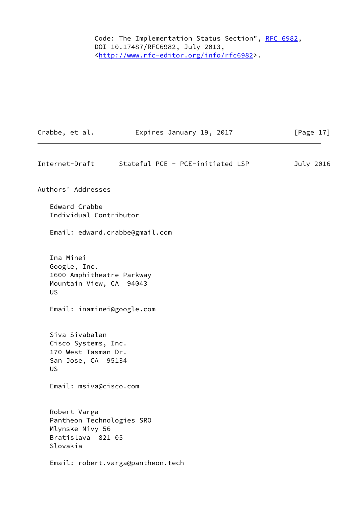Code: The Implementation Status Section", [RFC 6982](https://datatracker.ietf.org/doc/pdf/rfc6982), DOI 10.17487/RFC6982, July 2013, <<http://www.rfc-editor.org/info/rfc6982>>.

<span id="page-19-0"></span>

| Crabbe, et al.                                                                                                               | Expires January 19, 2017          | [Page $17$ ] |
|------------------------------------------------------------------------------------------------------------------------------|-----------------------------------|--------------|
| Internet-Draft                                                                                                               | Stateful PCE - PCE-initiated LSP  | July 2016    |
| Authors' Addresses                                                                                                           |                                   |              |
| Edward Crabbe<br>Individual Contributor                                                                                      |                                   |              |
| Email: edward.crabbe@gmail.com                                                                                               |                                   |              |
| Ina Minei<br>Google, Inc.<br>1600 Amphitheatre Parkway<br>Mountain View, CA 94043<br><b>US</b><br>Email: inaminei@google.com |                                   |              |
|                                                                                                                              |                                   |              |
| Siva Sivabalan<br>Cisco Systems, Inc.<br>170 West Tasman Dr.<br>San Jose, CA 95134<br><b>US</b>                              |                                   |              |
| Email: msiva@cisco.com                                                                                                       |                                   |              |
| Robert Varga<br>Pantheon Technologies SRO<br>Mlynske Nivy 56<br>Bratislava 821 05<br>Slovakia                                |                                   |              |
|                                                                                                                              | Email: robert.varga@pantheon.tech |              |